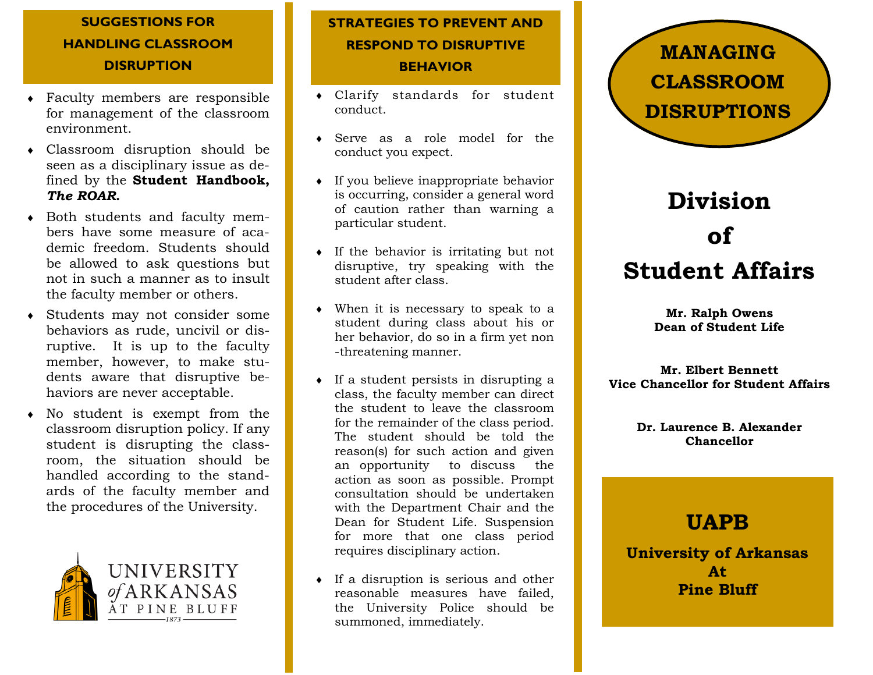### **SUGGESTIONS FOR HANDLING CLASSROOM DISRUPTION**

- Faculty members are responsible for management of the classroom environment.
- Classroom disruption should be seen as a disciplinary issue as defined by the **Student Handbook,**  *The ROAR***.**
- Both students and faculty members have some measure of academic freedom. Students should be allowed to ask questions but not in such a manner as to insult the faculty member or others.
- Students may not consider some behaviors as rude, uncivil or disruptive. It is up to the faculty member, however, to make students aware that disruptive behaviors are never acceptable.
- No student is exempt from the classroom disruption policy. If any student is disrupting the classroom, the situation should be handled according to the standards of the faculty member and the procedures of the University.



## **STRATEGIES TO PREVENT AND RESPOND TO DISRUPTIVE BEHAVIOR**

- Clarify standards for student conduct.
- Serve as a role model for the conduct you expect.
- If you believe inappropriate behavior is occurring, consider a general word of caution rather than warning a particular student.
- If the behavior is irritating but not disruptive, try speaking with the student after class.
- When it is necessary to speak to a student during class about his or her behavior, do so in a firm yet non -threatening manner.
- $\bullet$  If a student persists in disrupting a class, the faculty member can direct the student to leave the classroom for the remainder of the class period. The student should be told the reason(s) for such action and given an opportunity to discuss the action as soon as possible. Prompt consultation should be undertaken with the Department Chair and the Dean for Student Life. Suspension for more that one class period requires disciplinary action.
- $\bullet$  If a disruption is serious and other reasonable measures have failed, the University Police should be summoned, immediately.



# **Division of Student Affairs**

**Mr. Ralph Owens Dean of Student Life**

**Mr. Elbert Bennett Vice Chancellor for Student Affairs**

> **Dr. Laurence B. Alexander Chancellor**

# **UAPB**

**University of Arkansas At Pine Bluff**